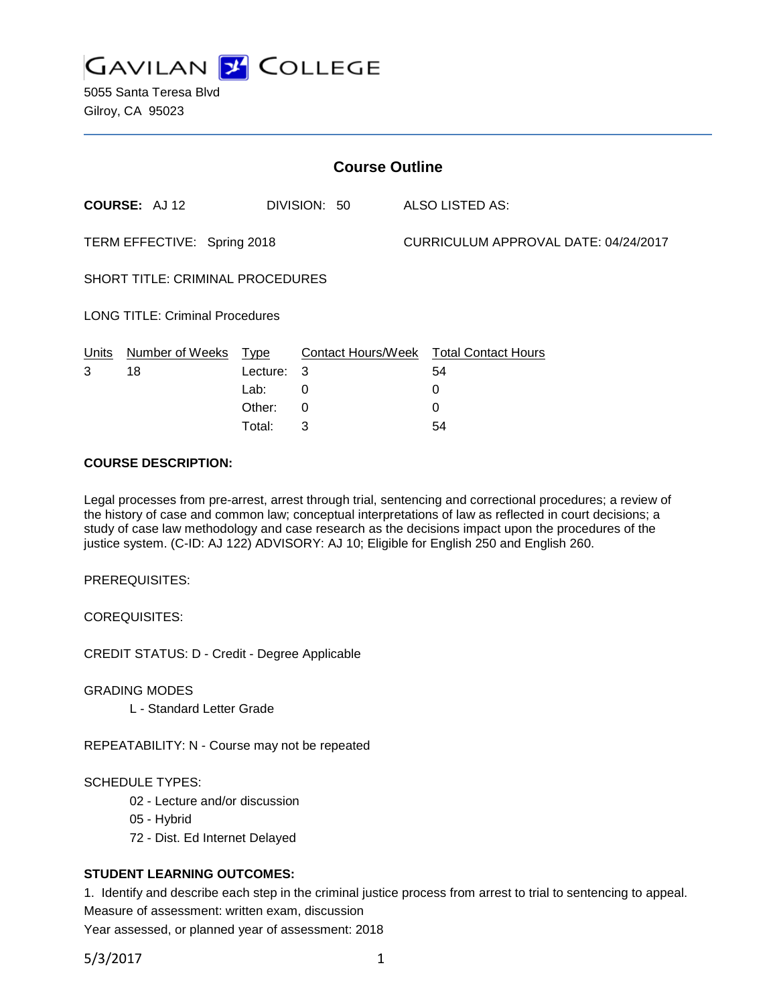

| <b>Course Outline</b>                  |                     |             |                           |                                      |                            |
|----------------------------------------|---------------------|-------------|---------------------------|--------------------------------------|----------------------------|
|                                        | <b>COURSE: AJ12</b> |             | DIVISION: 50              |                                      | ALSO LISTED AS:            |
| TERM EFFECTIVE: Spring 2018            |                     |             |                           | CURRICULUM APPROVAL DATE: 04/24/2017 |                            |
| SHORT TITLE: CRIMINAL PROCEDURES       |                     |             |                           |                                      |                            |
| <b>LONG TITLE: Criminal Procedures</b> |                     |             |                           |                                      |                            |
| Units                                  | Number of Weeks     | <u>Type</u> | <b>Contact Hours/Week</b> |                                      | <b>Total Contact Hours</b> |
| 3                                      | 18                  | Lecture:    | 3                         |                                      | 54                         |
|                                        |                     | Lab:        | 0                         |                                      | 0                          |
|                                        |                     | Other:      | 0                         |                                      | 0                          |
|                                        |                     | Total:      | 3                         |                                      | 54                         |

### **COURSE DESCRIPTION:**

Legal processes from pre-arrest, arrest through trial, sentencing and correctional procedures; a review of the history of case and common law; conceptual interpretations of law as reflected in court decisions; a study of case law methodology and case research as the decisions impact upon the procedures of the justice system. (C-ID: AJ 122) ADVISORY: AJ 10; Eligible for English 250 and English 260.

PREREQUISITES:

COREQUISITES:

CREDIT STATUS: D - Credit - Degree Applicable

GRADING MODES

L - Standard Letter Grade

REPEATABILITY: N - Course may not be repeated

# SCHEDULE TYPES:

- 02 Lecture and/or discussion
- 05 Hybrid
- 72 Dist. Ed Internet Delayed

# **STUDENT LEARNING OUTCOMES:**

1. Identify and describe each step in the criminal justice process from arrest to trial to sentencing to appeal. Measure of assessment: written exam, discussion

Year assessed, or planned year of assessment: 2018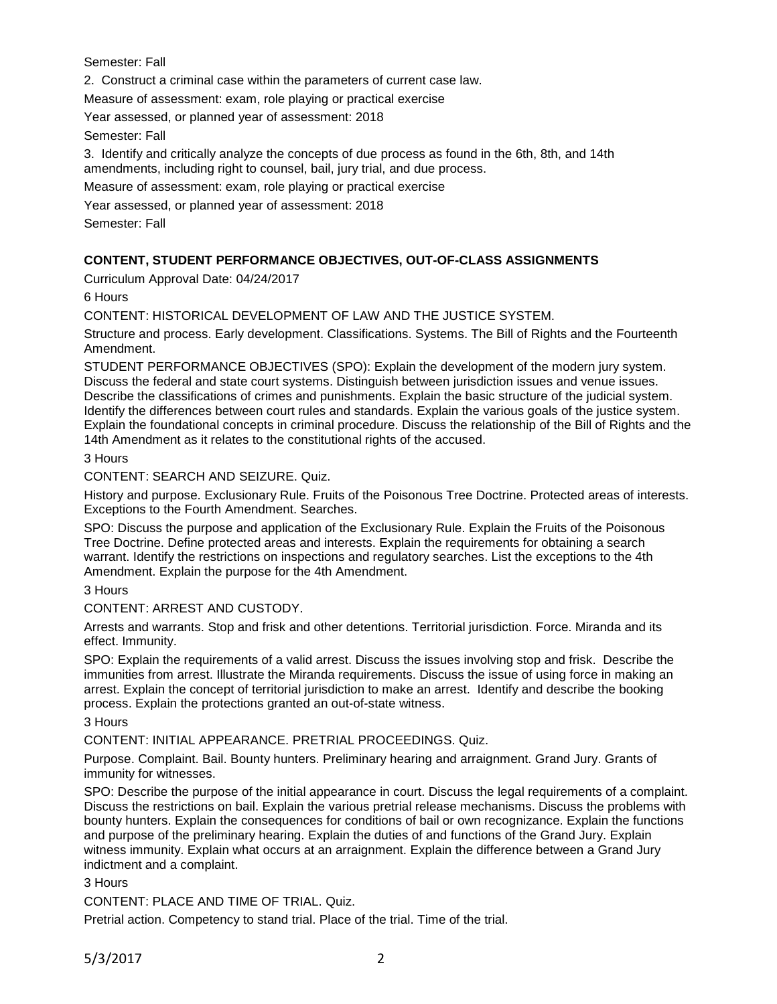Semester: Fall

2. Construct a criminal case within the parameters of current case law.

Measure of assessment: exam, role playing or practical exercise

Year assessed, or planned year of assessment: 2018

Semester: Fall

3. Identify and critically analyze the concepts of due process as found in the 6th, 8th, and 14th amendments, including right to counsel, bail, jury trial, and due process.

Measure of assessment: exam, role playing or practical exercise

Year assessed, or planned year of assessment: 2018

Semester: Fall

# **CONTENT, STUDENT PERFORMANCE OBJECTIVES, OUT-OF-CLASS ASSIGNMENTS**

Curriculum Approval Date: 04/24/2017

6 Hours

CONTENT: HISTORICAL DEVELOPMENT OF LAW AND THE JUSTICE SYSTEM.

Structure and process. Early development. Classifications. Systems. The Bill of Rights and the Fourteenth Amendment.

STUDENT PERFORMANCE OBJECTIVES (SPO): Explain the development of the modern jury system. Discuss the federal and state court systems. Distinguish between jurisdiction issues and venue issues. Describe the classifications of crimes and punishments. Explain the basic structure of the judicial system. Identify the differences between court rules and standards. Explain the various goals of the justice system. Explain the foundational concepts in criminal procedure. Discuss the relationship of the Bill of Rights and the 14th Amendment as it relates to the constitutional rights of the accused.

3 Hours

CONTENT: SEARCH AND SEIZURE. Quiz.

History and purpose. Exclusionary Rule. Fruits of the Poisonous Tree Doctrine. Protected areas of interests. Exceptions to the Fourth Amendment. Searches.

SPO: Discuss the purpose and application of the Exclusionary Rule. Explain the Fruits of the Poisonous Tree Doctrine. Define protected areas and interests. Explain the requirements for obtaining a search warrant. Identify the restrictions on inspections and regulatory searches. List the exceptions to the 4th Amendment. Explain the purpose for the 4th Amendment.

3 Hours

CONTENT: ARREST AND CUSTODY.

Arrests and warrants. Stop and frisk and other detentions. Territorial jurisdiction. Force. Miranda and its effect. Immunity.

SPO: Explain the requirements of a valid arrest. Discuss the issues involving stop and frisk. Describe the immunities from arrest. Illustrate the Miranda requirements. Discuss the issue of using force in making an arrest. Explain the concept of territorial jurisdiction to make an arrest. Identify and describe the booking process. Explain the protections granted an out-of-state witness.

3 Hours

CONTENT: INITIAL APPEARANCE. PRETRIAL PROCEEDINGS. Quiz.

Purpose. Complaint. Bail. Bounty hunters. Preliminary hearing and arraignment. Grand Jury. Grants of immunity for witnesses.

SPO: Describe the purpose of the initial appearance in court. Discuss the legal requirements of a complaint. Discuss the restrictions on bail. Explain the various pretrial release mechanisms. Discuss the problems with bounty hunters. Explain the consequences for conditions of bail or own recognizance. Explain the functions and purpose of the preliminary hearing. Explain the duties of and functions of the Grand Jury. Explain witness immunity. Explain what occurs at an arraignment. Explain the difference between a Grand Jury indictment and a complaint.

3 Hours

CONTENT: PLACE AND TIME OF TRIAL. Quiz.

Pretrial action. Competency to stand trial. Place of the trial. Time of the trial.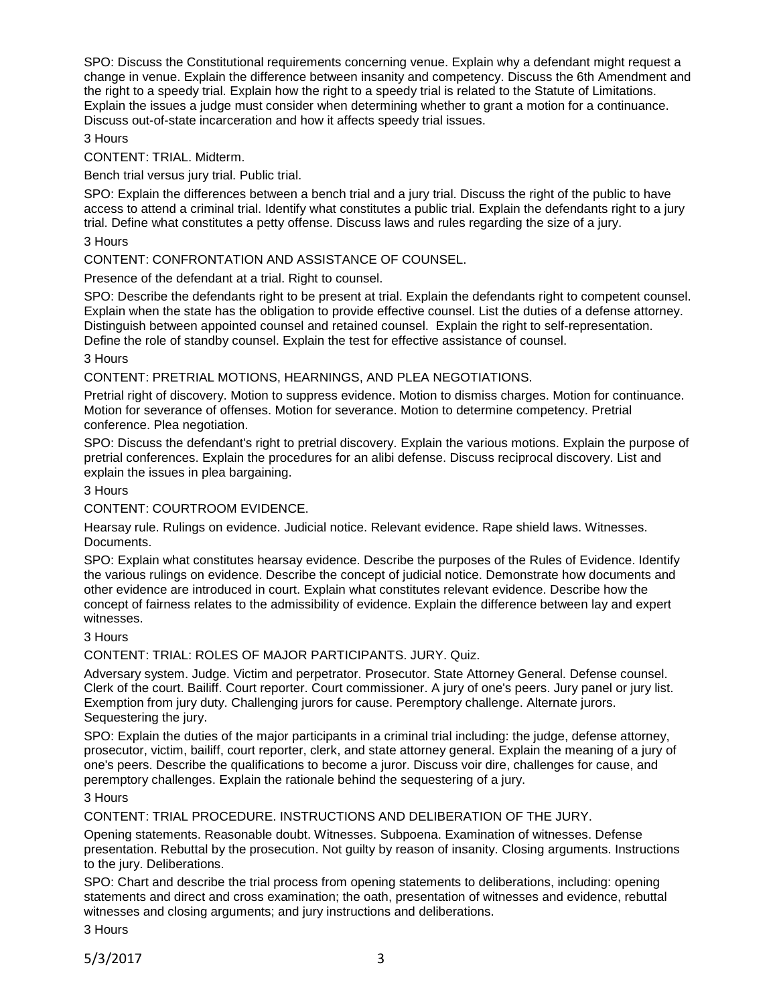SPO: Discuss the Constitutional requirements concerning venue. Explain why a defendant might request a change in venue. Explain the difference between insanity and competency. Discuss the 6th Amendment and the right to a speedy trial. Explain how the right to a speedy trial is related to the Statute of Limitations. Explain the issues a judge must consider when determining whether to grant a motion for a continuance. Discuss out-of-state incarceration and how it affects speedy trial issues.

3 Hours

CONTENT: TRIAL. Midterm.

Bench trial versus jury trial. Public trial.

SPO: Explain the differences between a bench trial and a jury trial. Discuss the right of the public to have access to attend a criminal trial. Identify what constitutes a public trial. Explain the defendants right to a jury trial. Define what constitutes a petty offense. Discuss laws and rules regarding the size of a jury.

3 Hours

CONTENT: CONFRONTATION AND ASSISTANCE OF COUNSEL.

Presence of the defendant at a trial. Right to counsel.

SPO: Describe the defendants right to be present at trial. Explain the defendants right to competent counsel. Explain when the state has the obligation to provide effective counsel. List the duties of a defense attorney. Distinguish between appointed counsel and retained counsel. Explain the right to self-representation. Define the role of standby counsel. Explain the test for effective assistance of counsel.

3 Hours

CONTENT: PRETRIAL MOTIONS, HEARNINGS, AND PLEA NEGOTIATIONS.

Pretrial right of discovery. Motion to suppress evidence. Motion to dismiss charges. Motion for continuance. Motion for severance of offenses. Motion for severance. Motion to determine competency. Pretrial conference. Plea negotiation.

SPO: Discuss the defendant's right to pretrial discovery. Explain the various motions. Explain the purpose of pretrial conferences. Explain the procedures for an alibi defense. Discuss reciprocal discovery. List and explain the issues in plea bargaining.

3 Hours

CONTENT: COURTROOM EVIDENCE.

Hearsay rule. Rulings on evidence. Judicial notice. Relevant evidence. Rape shield laws. Witnesses. Documents.

SPO: Explain what constitutes hearsay evidence. Describe the purposes of the Rules of Evidence. Identify the various rulings on evidence. Describe the concept of judicial notice. Demonstrate how documents and other evidence are introduced in court. Explain what constitutes relevant evidence. Describe how the concept of fairness relates to the admissibility of evidence. Explain the difference between lay and expert witnesses.

3 Hours

CONTENT: TRIAL: ROLES OF MAJOR PARTICIPANTS. JURY. Quiz.

Adversary system. Judge. Victim and perpetrator. Prosecutor. State Attorney General. Defense counsel. Clerk of the court. Bailiff. Court reporter. Court commissioner. A jury of one's peers. Jury panel or jury list. Exemption from jury duty. Challenging jurors for cause. Peremptory challenge. Alternate jurors. Sequestering the jury.

SPO: Explain the duties of the major participants in a criminal trial including: the judge, defense attorney, prosecutor, victim, bailiff, court reporter, clerk, and state attorney general. Explain the meaning of a jury of one's peers. Describe the qualifications to become a juror. Discuss voir dire, challenges for cause, and peremptory challenges. Explain the rationale behind the sequestering of a jury.

3 Hours

CONTENT: TRIAL PROCEDURE. INSTRUCTIONS AND DELIBERATION OF THE JURY.

Opening statements. Reasonable doubt. Witnesses. Subpoena. Examination of witnesses. Defense presentation. Rebuttal by the prosecution. Not guilty by reason of insanity. Closing arguments. Instructions to the jury. Deliberations.

SPO: Chart and describe the trial process from opening statements to deliberations, including: opening statements and direct and cross examination; the oath, presentation of witnesses and evidence, rebuttal witnesses and closing arguments; and jury instructions and deliberations.

3 Hours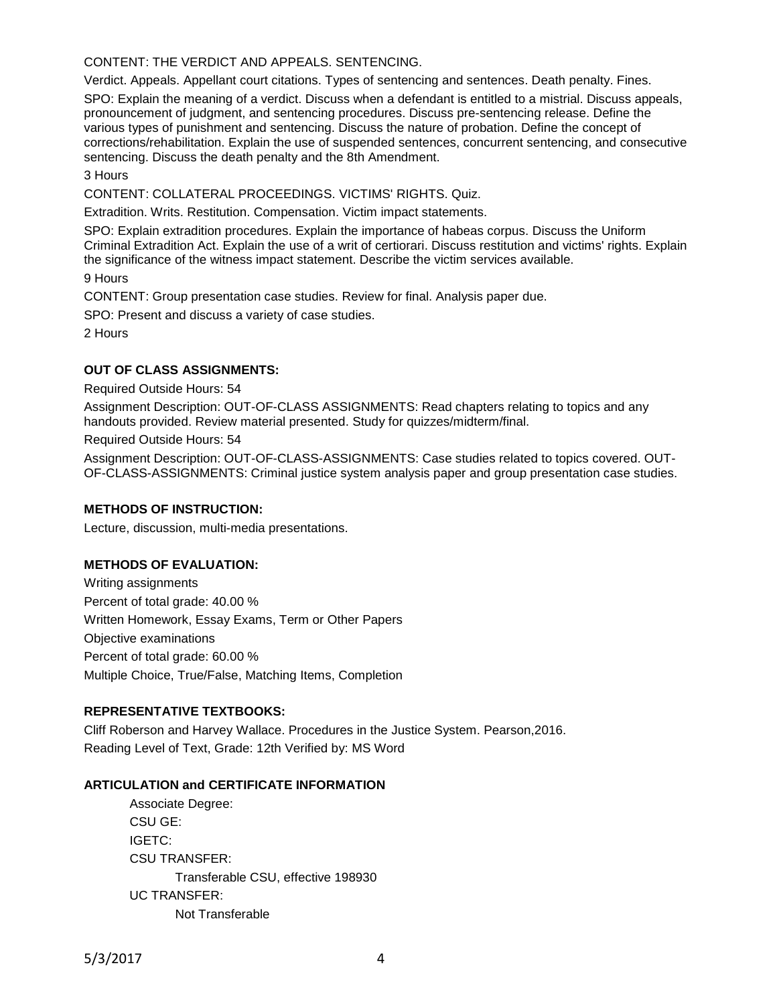CONTENT: THE VERDICT AND APPEALS. SENTENCING.

Verdict. Appeals. Appellant court citations. Types of sentencing and sentences. Death penalty. Fines.

SPO: Explain the meaning of a verdict. Discuss when a defendant is entitled to a mistrial. Discuss appeals, pronouncement of judgment, and sentencing procedures. Discuss pre-sentencing release. Define the various types of punishment and sentencing. Discuss the nature of probation. Define the concept of corrections/rehabilitation. Explain the use of suspended sentences, concurrent sentencing, and consecutive sentencing. Discuss the death penalty and the 8th Amendment.

3 Hours

CONTENT: COLLATERAL PROCEEDINGS. VICTIMS' RIGHTS. Quiz.

Extradition. Writs. Restitution. Compensation. Victim impact statements.

SPO: Explain extradition procedures. Explain the importance of habeas corpus. Discuss the Uniform Criminal Extradition Act. Explain the use of a writ of certiorari. Discuss restitution and victims' rights. Explain the significance of the witness impact statement. Describe the victim services available. 9 Hours

CONTENT: Group presentation case studies. Review for final. Analysis paper due.

SPO: Present and discuss a variety of case studies.

2 Hours

## **OUT OF CLASS ASSIGNMENTS:**

Required Outside Hours: 54

Assignment Description: OUT-OF-CLASS ASSIGNMENTS: Read chapters relating to topics and any handouts provided. Review material presented. Study for quizzes/midterm/final.

Required Outside Hours: 54

Assignment Description: OUT-OF-CLASS-ASSIGNMENTS: Case studies related to topics covered. OUT-OF-CLASS-ASSIGNMENTS: Criminal justice system analysis paper and group presentation case studies.

#### **METHODS OF INSTRUCTION:**

Lecture, discussion, multi-media presentations.

## **METHODS OF EVALUATION:**

Writing assignments Percent of total grade: 40.00 % Written Homework, Essay Exams, Term or Other Papers Objective examinations Percent of total grade: 60.00 % Multiple Choice, True/False, Matching Items, Completion

# **REPRESENTATIVE TEXTBOOKS:**

Cliff Roberson and Harvey Wallace. Procedures in the Justice System. Pearson,2016. Reading Level of Text, Grade: 12th Verified by: MS Word

#### **ARTICULATION and CERTIFICATE INFORMATION**

Associate Degree: CSU GE: IGETC: CSU TRANSFER: Transferable CSU, effective 198930 UC TRANSFER: Not Transferable